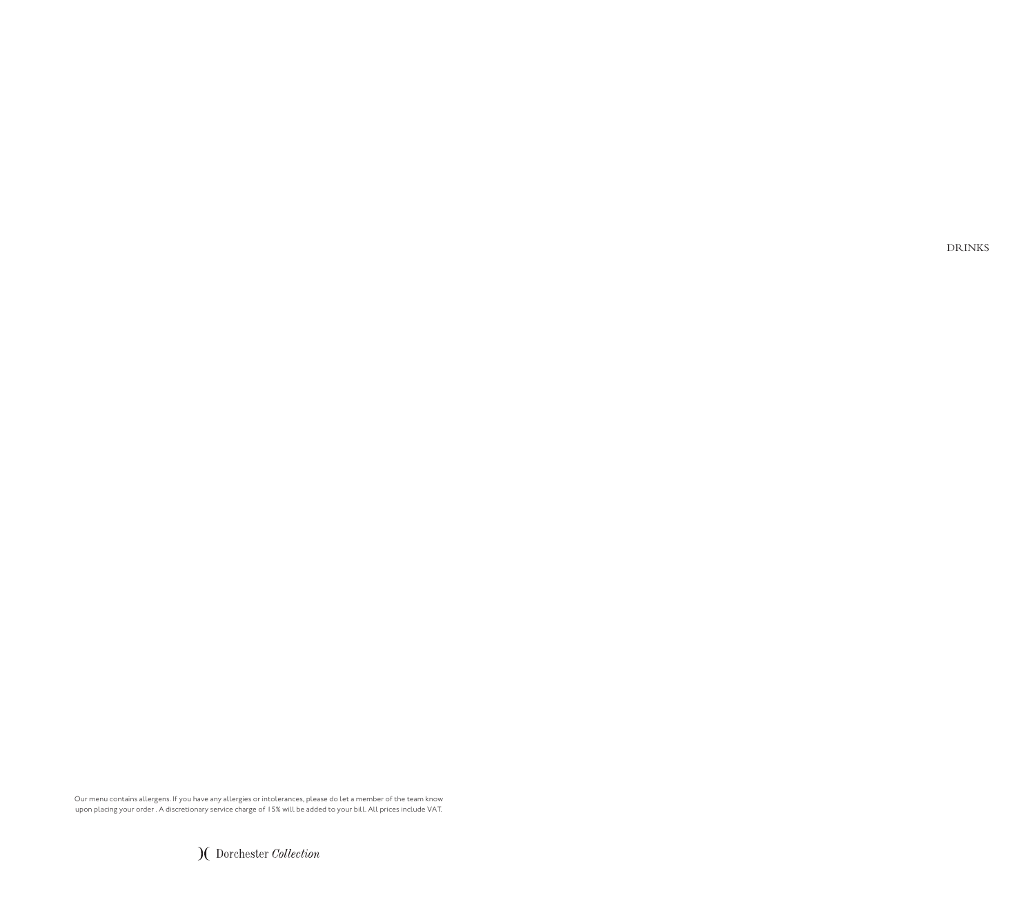DRINKS

Our menu contains allergens. If you have any allergies or intolerances, please do let a member of the team know upon placing your order . A discretionary service charge of 15% will be added to your bill. All prices include VAT.

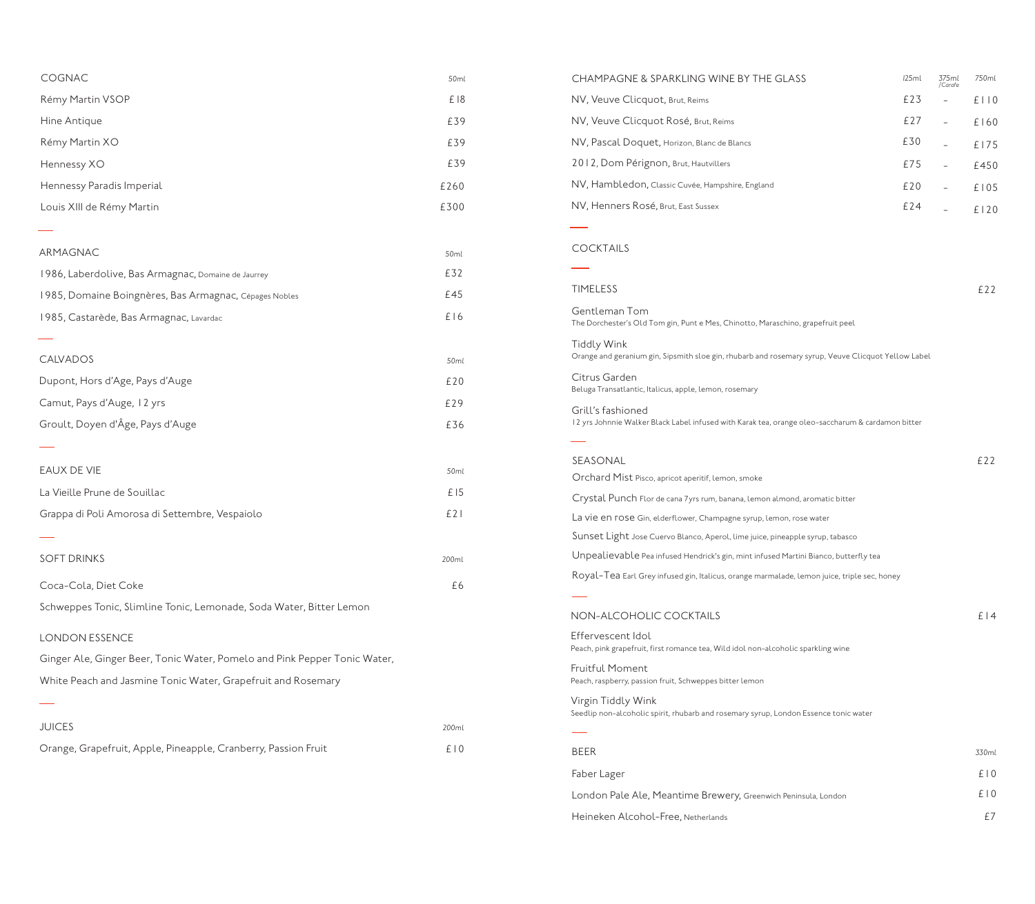| COGNAC                                                                    | 50ml  |  |
|---------------------------------------------------------------------------|-------|--|
| Rémy Martin VSOP                                                          | £18   |  |
| Hine Antique                                                              | £39   |  |
| Rémy Martin XO                                                            | £39   |  |
| Hennessy XO                                                               | £39   |  |
| Hennessy Paradis Imperial                                                 | £260  |  |
| Louis XIII de Rémy Martin                                                 | £300  |  |
|                                                                           |       |  |
| ARMAGNAC                                                                  | 50ml  |  |
| 1986, Laberdolive, Bas Armagnac, Domaine de Jaurrey                       | £32   |  |
| 1985, Domaine Boingnères, Bas Armagnac, Cépages Nobles                    | £45   |  |
| 1985, Castarède, Bas Armagnac, Lavardac                                   | £16   |  |
|                                                                           |       |  |
| CALVADOS                                                                  | 50ml  |  |
| Dupont, Hors d'Age, Pays d'Auge                                           | £20   |  |
| Camut, Pays d'Auge, 12 yrs                                                | £29   |  |
| Groult, Doyen d'Âge, Pays d'Auge                                          | £36   |  |
|                                                                           |       |  |
| EAUX DE VIE                                                               | 50ml  |  |
| La Vieille Prune de Souillac                                              | £15   |  |
| Grappa di Poli Amorosa di Settembre, Vespaiolo                            | E21   |  |
|                                                                           |       |  |
| <b>SOFT DRINKS</b>                                                        | 200ml |  |
| Coca-Cola, Diet Coke                                                      | £6    |  |
| Schweppes Tonic, Slimline Tonic, Lemonade, Soda Water, Bitter Lemon       |       |  |
| <b>LONDON ESSENCE</b>                                                     |       |  |
| Ginger Ale, Ginger Beer, Tonic Water, Pomelo and Pink Pepper Tonic Water, |       |  |
| White Peach and Jasmine Tonic Water, Grapefruit and Rosemary              |       |  |
|                                                                           |       |  |
| <b>JUICES</b>                                                             | 200ml |  |
| Orange, Grapefruit, Apple, Pineapple, Cranberry, Passion Fruit            | E10   |  |

| CHAMPAGNE & SPARKLING WINE BY THE GLASS                                                                                   | 125ml | 375ml<br>/Carafe | 750ml |
|---------------------------------------------------------------------------------------------------------------------------|-------|------------------|-------|
| NV, Veuve Clicquot, Brut, Reims                                                                                           | £23   |                  | E110  |
| NV, Veuve Clicquot Rosé, Brut, Reims                                                                                      | £27   | $\equiv$         | £160  |
| NV, Pascal Doquet, Horizon, Blanc de Blancs                                                                               | £30   |                  | £175  |
| 2012, Dom Pérignon, Brut, Hautvillers                                                                                     | £75   |                  | £450  |
| NV, Hambledon, Classic Cuvée, Hampshire, England                                                                          | £20   |                  | £105  |
| NV, Henners Rosé, Brut, East Sussex                                                                                       | £24   |                  | £120  |
|                                                                                                                           |       |                  |       |
| <b>COCKTAILS</b>                                                                                                          |       |                  |       |
|                                                                                                                           |       |                  |       |
| <b>TIMELESS</b>                                                                                                           |       |                  | £22   |
| Gentleman Tom<br>The Dorchester's Old Tom gin, Punt e Mes, Chinotto, Maraschino, grapefruit peel                          |       |                  |       |
| <b>Tiddly Wink</b><br>Orange and geranium gin, Sipsmith sloe gin, rhubarb and rosemary syrup, Veuve Clicquot Yellow Label |       |                  |       |
| Citrus Garden<br>Beluga Transatlantic, Italicus, apple, lemon, rosemary                                                   |       |                  |       |
| Grill's fashioned<br>12 yrs Johnnie Walker Black Label infused with Karak tea, orange oleo-saccharum & cardamon bitter    |       |                  |       |
| SEASONAL                                                                                                                  |       |                  | E22   |
| Orchard Mist Pisco, apricot aperitif, lemon, smoke                                                                        |       |                  |       |
| Crystal Punch Flor de cana 7 yrs rum, banana, lemon almond, aromatic bitter                                               |       |                  |       |
| La vie en rose Gin, elderflower, Champagne syrup, lemon, rose water                                                       |       |                  |       |
| Sunset Light Jose Cuervo Blanco, Aperol, lime juice, pineapple syrup, tabasco                                             |       |                  |       |
| Unpealievable Pea infused Hendrick's gin, mint infused Martini Bianco, butterfly tea                                      |       |                  |       |
| Royal-Tea Earl Grey infused gin, Italicus, orange marmalade, lemon juice, triple sec, honey                               |       |                  |       |
|                                                                                                                           |       |                  |       |
| NON-ALCOHOLIC COCKTAILS                                                                                                   |       |                  | £ 14  |
| Effervescent Idol<br>Peach, pink grapefruit, first romance tea, Wild idol non-alcoholic sparkling wine                    |       |                  |       |
| <b>Fruitful Moment</b><br>Peach, raspberry, passion fruit, Schweppes bitter lemon                                         |       |                  |       |
| Virgin Tiddly Wink<br>Seedlip non-alcoholic spirit, rhubarb and rosemary syrup, London Essence tonic water                |       |                  |       |
|                                                                                                                           |       |                  |       |
| <b>BEER</b>                                                                                                               |       |                  | 330ml |
| Faber Lager                                                                                                               |       |                  | E10   |
| London Pale Ale, Meantime Brewery, Greenwich Peninsula, London                                                            |       |                  | E10   |
| Heineken Alcohol-Free, Netherlands                                                                                        |       |                  | £7    |